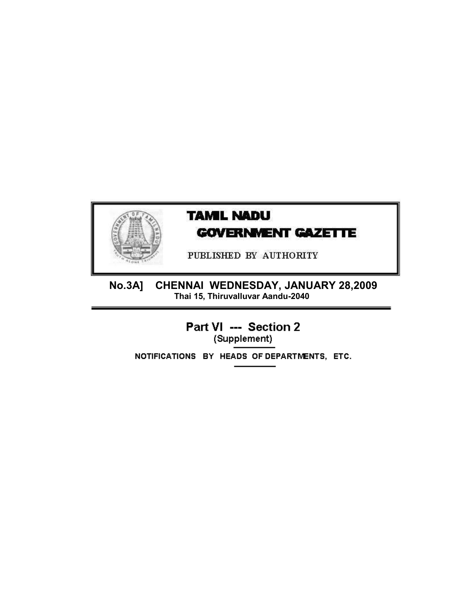

# **TAMIL NADU GOVERNMENT GAZETTE**

PUBLISHED BY AUTHORITY

CHENNAI WEDNESDAY, JANUARY 28,2009<br>Thai 15, Thiruvalluvar Aandu-2040 **No.3A]** 

> Part VI --- Section 2 (Supplement)

NOTIFICATIONS BY HEADS OF DEPARTMENTS, ETC.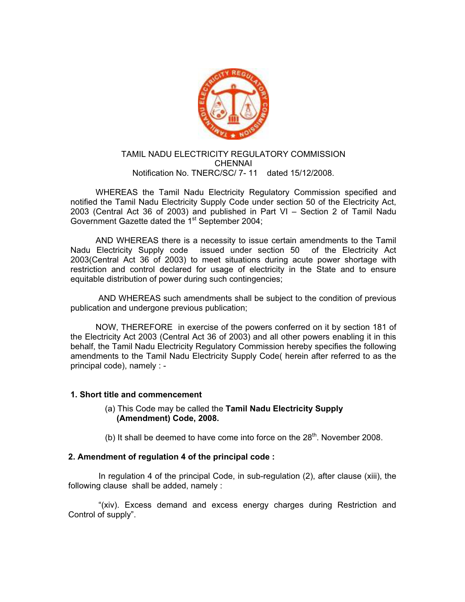

# TAMIL NADU ELECTRICITY REGULATORY COMMISSION **CHENNAI** Notification No. TNERC/SC/ 7- 11 dated 15/12/2008.

 WHEREAS the Tamil Nadu Electricity Regulatory Commission specified and notified the Tamil Nadu Electricity Supply Code under section 50 of the Electricity Act, 2003 (Central Act 36 of 2003) and published in Part VI – Section 2 of Tamil Nadu Government Gazette dated the 1<sup>st</sup> September 2004;

 AND WHEREAS there is a necessity to issue certain amendments to the Tamil Nadu Electricity Supply code issued under section 50 of the Electricity Act 2003(Central Act 36 of 2003) to meet situations during acute power shortage with restriction and control declared for usage of electricity in the State and to ensure equitable distribution of power during such contingencies;

 AND WHEREAS such amendments shall be subject to the condition of previous publication and undergone previous publication;

 NOW, THEREFORE in exercise of the powers conferred on it by section 181 of the Electricity Act 2003 (Central Act 36 of 2003) and all other powers enabling it in this behalf, the Tamil Nadu Electricity Regulatory Commission hereby specifies the following amendments to the Tamil Nadu Electricity Supply Code( herein after referred to as the principal code), namely : -

#### **1. Short title and commencement**

 (a) This Code may be called the **Tamil Nadu Electricity Supply (Amendment) Code, 2008.** 

(b) It shall be deemed to have come into force on the  $28<sup>th</sup>$ . November 2008.

# **2. Amendment of regulation 4 of the principal code :**

In regulation 4 of the principal Code, in sub-regulation (2), after clause (xiii), the following clause shall be added, namely :

 "(xiv). Excess demand and excess energy charges during Restriction and Control of supply".